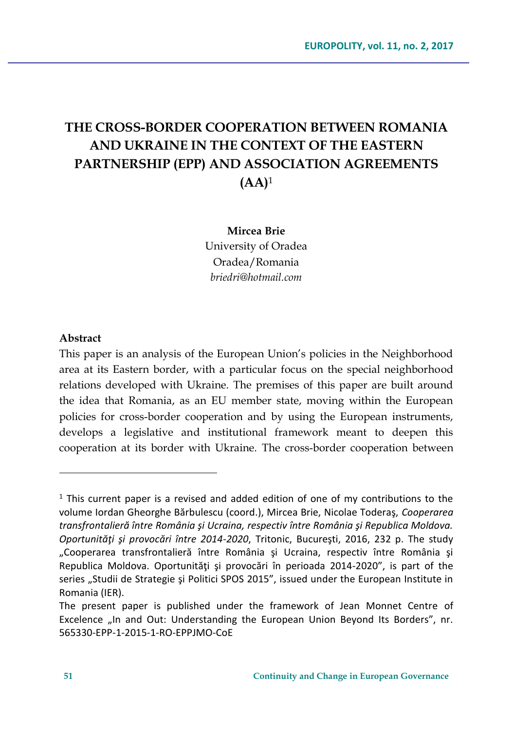# **THE CROSS-BORDER COOPERATION BETWEEN ROMANIA AND UKRAINE IN THE CONTEXT OF THE EASTERN PARTNERSHIP (EPP) AND ASSOCIATION AGREEMENTS (AA)**<sup>1</sup>

#### **Mircea Brie**

University of Oradea Oradea/Romania *briedri@hotmail.com* 

#### **Abstract**

 $\overline{a}$ 

This paper is an analysis of the European Union's policies in the Neighborhood area at its Eastern border, with a particular focus on the special neighborhood relations developed with Ukraine. The premises of this paper are built around the idea that Romania, as an EU member state, moving within the European policies for cross-border cooperation and by using the European instruments, develops a legislative and institutional framework meant to deepen this cooperation at its border with Ukraine. The cross-border cooperation between

<sup>&</sup>lt;sup>1</sup> This current paper is a revised and added edition of one of my contributions to the volume Iordan Gheorghe Bărbulescu (coord.), Mircea Brie, Nicolae Toderaş, *Cooperarea transfrontalieră între România şi Ucraina, respectiv între România şi Republica Moldova. Oportunităţi şi provocări între 2014-2020*, Tritonic, Bucureşti, 2016, 232 p. The study "Cooperarea transfrontalieră între România şi Ucraina, respectiv între România şi Republica Moldova. Oportunităţi şi provocări în perioada 2014-2020", is part of the series "Studii de Strategie și Politici SPOS 2015", issued under the European Institute in Romania (IER).

The present paper is published under the framework of Jean Monnet Centre of Excelence "In and Out: Understanding the European Union Beyond Its Borders", nr. 565330-EPP-1-2015-1-RO-EPPJMO-CoE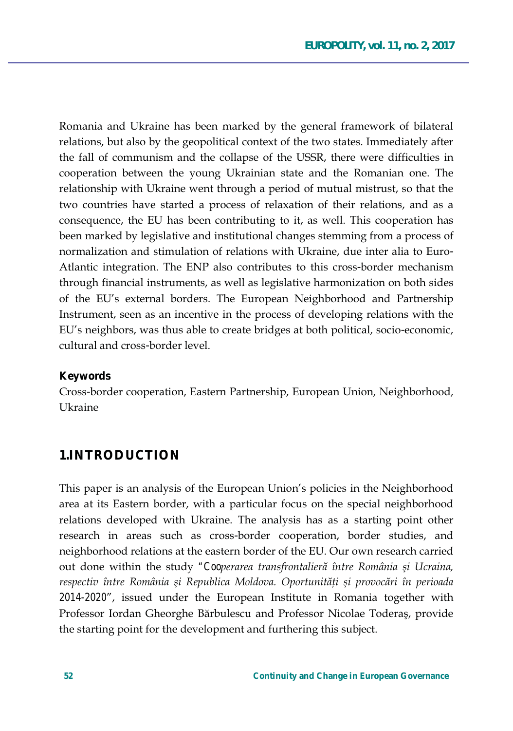Romania and Ukraine has been marked by the general framework of bilateral relations, but also by the geopolitical context of the two states. Immediately after the fall of communism and the collapse of the USSR, there were difficulties in cooperation between the young Ukrainian state and the Romanian one. The relationship with Ukraine went through a period of mutual mistrust, so that the two countries have started a process of relaxation of their relations, and as a consequence, the EU has been contributing to it, as well. This cooperation has been marked by legislative and institutional changes stemming from a process of normalization and stimulation of relations with Ukraine, due inter alia to Euro-Atlantic integration. The ENP also contributes to this cross-border mechanism through financial instruments, as well as legislative harmonization on both sides of the EU's external borders. The European Neighborhood and Partnership Instrument, seen as an incentive in the process of developing relations with the EU's neighbors, was thus able to create bridges at both political, socio-economic, cultural and cross-border level.

#### **Keywords**

Cross-border cooperation, Eastern Partnership, European Union, Neighborhood, **Ukraine** 

### **1.INTRODUCTION**

This paper is an analysis of the European Union's policies in the Neighborhood area at its Eastern border, with a particular focus on the special neighborhood relations developed with Ukraine. The analysis has as a starting point other research in areas such as cross-border cooperation, border studies, and neighborhood relations at the eastern border of the EU. Our own research carried out done within the study "Cooperarea transfrontalieră între România și Ucraina, *respectiv între România și Republica Moldova. Oportunități și provocări în perioada 2014-2020'*, issued under the European Institute in Romania together with Professor Iordan Gheorghe Bărbulescu and Professor Nicolae Toderaș, provide the starting point for the development and furthering this subject.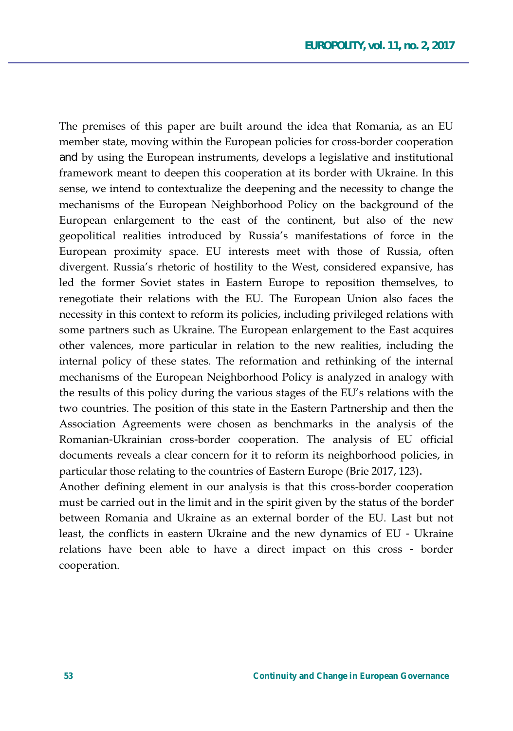The premises of this paper are built around the idea that Romania, as an EU member state, moving within the European policies for cross-border cooperation and by using the European instruments, develops a legislative and institutional framework meant to deepen this cooperation at its border with Ukraine. In this sense, we intend to contextualize the deepening and the necessity to change the mechanisms of the European Neighborhood Policy on the background of the European enlargement to the east of the continent, but also of the new geopolitical realities introduced by Russia's manifestations of force in the European proximity space. EU interests meet with those of Russia, often divergent. Russia's rhetoric of hostility to the West, considered expansive, has led the former Soviet states in Eastern Europe to reposition themselves, to renegotiate their relations with the EU. The European Union also faces the necessity in this context to reform its policies, including privileged relations with some partners such as Ukraine. The European enlargement to the East acquires other valences, more particular in relation to the new realities, including the internal policy of these states. The reformation and rethinking of the internal mechanisms of the European Neighborhood Policy is analyzed in analogy with the results of this policy during the various stages of the EU's relations with the two countries. The position of this state in the Eastern Partnership and then the Association Agreements were chosen as benchmarks in the analysis of the Romanian-Ukrainian cross-border cooperation. The analysis of EU official documents reveals a clear concern for it to reform its neighborhood policies, in particular those relating to the countries of Eastern Europe (Brie 2017, 123).

Another defining element in our analysis is that this cross-border cooperation must be carried out in the limit and in the spirit given by the status of the border between Romania and Ukraine as an external border of the EU. Last but not least, the conflicts in eastern Ukraine and the new dynamics of EU - Ukraine relations have been able to have a direct impact on this cross - border cooperation.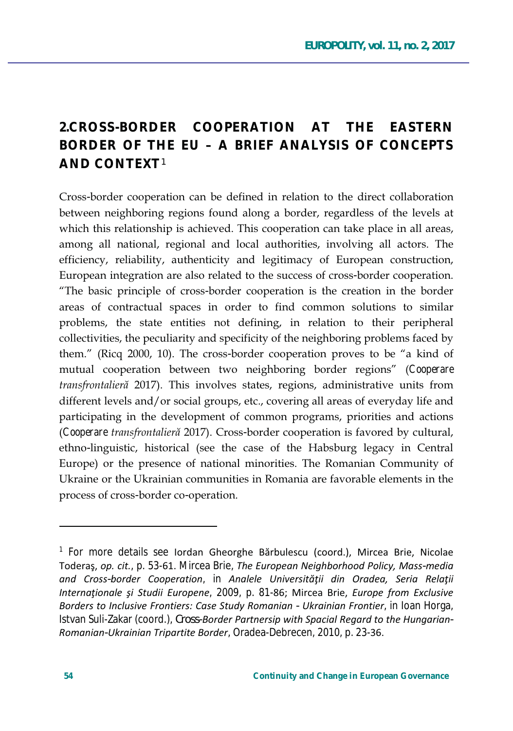## **2.CROSS-BORDER COOPERATION AT THE EASTERN BORDER OF THE EU – A BRIEF ANALYSIS OF CONCEPTS AND CONTEXT**<sup>1</sup>

Cross-border cooperation can be defined in relation to the direct collaboration between neighboring regions found along a border, regardless of the levels at which this relationship is achieved. This cooperation can take place in all areas, among all national, regional and local authorities, involving all actors. The efficiency, reliability, authenticity and legitimacy of European construction, European integration are also related to the success of cross-border cooperation. "The basic principle of cross-border cooperation is the creation in the border areas of contractual spaces in order to find common solutions to similar problems, the state entities not defining, in relation to their peripheral collectivities, the peculiarity and specificity of the neighboring problems faced by them." (Ricq 2000, 10). The cross-border cooperation proves to be "a kind of mutual cooperation between two neighboring border regions" (Cooperare *transfrontalieră* 2017). This involves states, regions, administrative units from different levels and/or social groups, etc., covering all areas of everyday life and participating in the development of common programs, priorities and actions *(Cooperare transfrontalieră* 2017). Cross-border cooperation is favored by cultural, ethno-linguistic, historical (see the case of the Habsburg legacy in Central Europe) or the presence of national minorities. The Romanian Community of Ukraine or the Ukrainian communities in Romania are favorable elements in the process of cross-border co-operation.

 $\overline{a}$ 

<sup>&</sup>lt;sup>1</sup> For more details see Iordan Gheorghe Bărbulescu (coord.), Mircea Brie, Nicolae Toderaş, op. cit., p. 53-61. Mircea Brie, *The European Neighborhood Policy, Mass-media <i>And Cross-border Cooperation, in Analele Universității din Oradea, Seria Relații /hternaționale și Studii Europene, 2009, p. 81-86; Mircea Brie, Europe from Exclusive ŽƌĚĞƌƐƚŽ/ŶĐůƵƐŝǀĞ&ƌŽŶƚŝĞƌƐ͗ĂƐĞ^ƚƵĚLJZŽŵĂŶŝĂŶ- hŬƌĂŝŶŝĂŶ&ƌŽŶƚŝĞƌ*, in Ioan Horga, Istvan Suli-Zakar (coord.), *Cross-Border Partnersip with Spacial Regard to the Hungarian-Romanian-Ukrainian Tripartite Border, Oradea-Debrecen, 2010, p. 23-36.*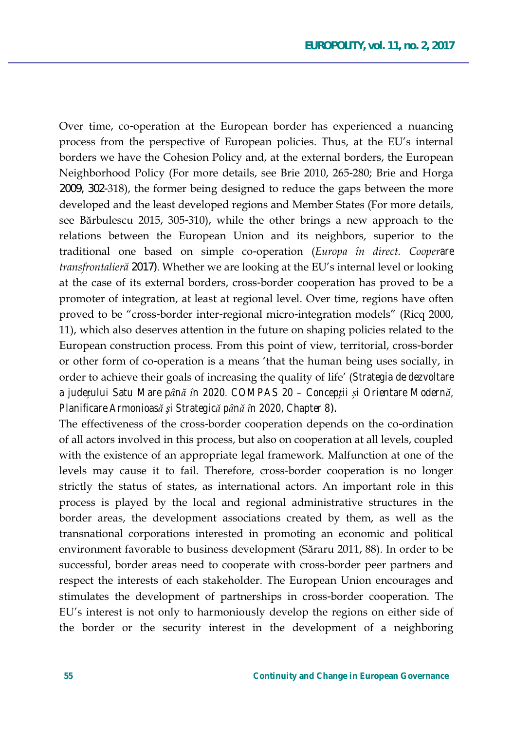Over time, co-operation at the European border has experienced a nuancing process from the perspective of European policies. Thus, at the EU's internal borders we have the Cohesion Policy and, at the external borders, the European Neighborhood Policy (For more details, see Brie 2010, 265-280; Brie and Horga 2009, 302-318), the former being designed to reduce the gaps between the more developed and the least developed regions and Member States (For more details, see Bărbulescu 2015, 305-310), while the other brings a new approach to the relations between the European Union and its neighbors, superior to the traditional one based on simple co-operation (Europa în direct. Cooperare transfrontalieră 2017). Whether we are looking at the EU's internal level or looking at the case of its external borders, cross-border cooperation has proved to be a promoter of integration, at least at regional level. Over time, regions have often proved to be "cross-border inter-regional micro-integration models" (Ricq 2000, 11), which also deserves attention in the future on shaping policies related to the European construction process. From this point of view, territorial, cross-border or other form of co-operation is a means 'that the human being uses socially, in order to achieve their goals of increasing the quality of life' (Strategia de dezvoltare a județului Satu Mare până în 2020. COMPAS 20 - Concepții și Orientare Modernă, Planificare Armonioasă și Strategică până în 2020, Chapter 8).

The effectiveness of the cross-border cooperation depends on the co-ordination of all actors involved in this process, but also on cooperation at all levels, coupled with the existence of an appropriate legal framework. Malfunction at one of the levels may cause it to fail. Therefore, cross-border cooperation is no longer strictly the status of states, as international actors. An important role in this process is played by the local and regional administrative structures in the border areas, the development associations created by them, as well as the transnational corporations interested in promoting an economic and political environment favorable to business development (Săraru 2011, 88). In order to be successful, border areas need to cooperate with cross-border peer partners and respect the interests of each stakeholder. The European Union encourages and stimulates the development of partnerships in cross-border cooperation. The EU's interest is not only to harmoniously develop the regions on either side of the border or the security interest in the development of a neighboring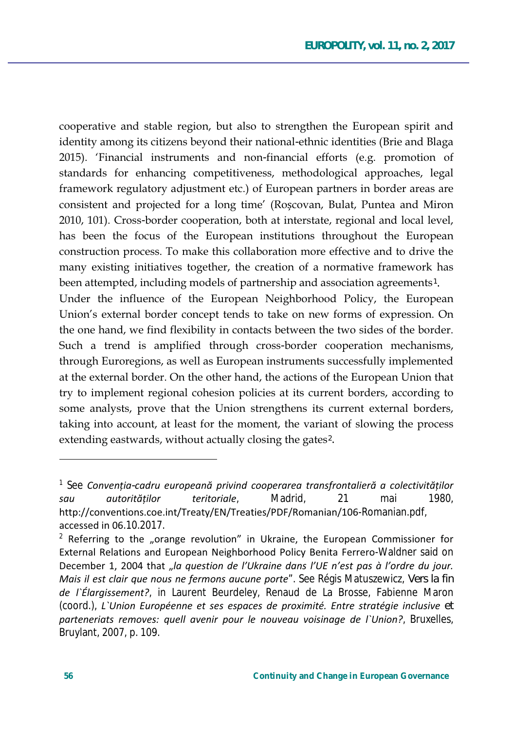cooperative and stable region, but also to strengthen the European spirit and identity among its citizens beyond their national-ethnic identities (Brie and Blaga 2015). 'Financial instruments and non-financial efforts (e.g. promotion of standards for enhancing competitiveness, methodological approaches, legal framework regulatory adjustment etc.) of European partners in border areas are consistent and projected for a long time' (Roscovan, Bulat, Puntea and Miron 2010, 101). Cross-border cooperation, both at interstate, regional and local level, has been the focus of the European institutions throughout the European construction process. To make this collaboration more effective and to drive the many existing initiatives together, the creation of a normative framework has been attempted, including models of partnership and association agreements<sup>1</sup>.

Under the influence of the European Neighborhood Policy, the European Union's external border concept tends to take on new forms of expression. On the one hand, we find flexibility in contacts between the two sides of the border. Such a trend is amplified through cross-border cooperation mechanisms, through Euroregions, as well as European instruments successfully implemented at the external border. On the other hand, the actions of the European Union that try to implement regional cohesion policies at its current borders, according to some analysts, prove that the Union strengthens its current external borders, taking into account, at least for the moment, the variant of slowing the process extending eastwards, without actually closing the gates<sup>2</sup>.

 $\frac{1}{1}$  See Convenția-cadru europeană privind cooperarea transfrontalieră a colectivităților autoritătilor teritoriale. Madrid. 21 mai 1980. sau http://conventions.coe.int/Treaty/EN/Treaties/PDF/Romanian/106-Romanian.pdf, accessed in 06.10.2017.

<sup>&</sup>lt;sup>2</sup> Referring to the "orange revolution" in Ukraine, the European Commissioner for External Relations and European Neighborhood Policy Benita Ferrero-Waldner said on December 1, 2004 that "la question de l'Ukraine dans l'UE n'est pas à l'ordre du jour. Mais il est clair que nous ne fermons aucune porte". See Régis Matuszewicz, Vers la fin de l'Élargissement?, in Laurent Beurdeley, Renaud de La Brosse, Fabienne Maron (coord.), L'Union Européenne et ses espaces de proximité. Entre stratégie inclusive et parteneriats removes: quell avenir pour le nouveau voisinage de l'Union?, Bruxelles, Bruylant, 2007, p. 109.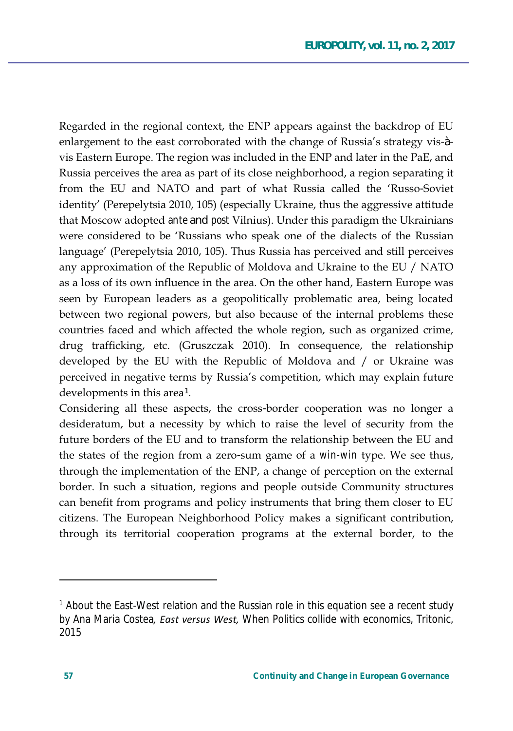Regarded in the regional context, the ENP appears against the backdrop of EU enlargement to the east corroborated with the change of Russia's strategy vis-àvis Eastern Europe. The region was included in the ENP and later in the PaE, and Russia perceives the area as part of its close neighborhood, a region separating it from the EU and NATO and part of what Russia called the 'Russo-Soviet identity' (Perepelytsia 2010, 105) (especially Ukraine, thus the aggressive attitude that Moscow adopted *ante* and *post* Vilnius). Under this paradigm the Ukrainians were considered to be 'Russians who speak one of the dialects of the Russian language' (Perepelytsia 2010, 105). Thus Russia has perceived and still perceives any approximation of the Republic of Moldova and Ukraine to the EU / NATO as a loss of its own influence in the area. On the other hand, Eastern Europe was seen by European leaders as a geopolitically problematic area, being located between two regional powers, but also because of the internal problems these countries faced and which affected the whole region, such as organized crime, drug trafficking, etc. (Gruszczak 2010). In consequence, the relationship developed by the EU with the Republic of Moldova and / or Ukraine was perceived in negative terms by Russia's competition, which may explain future developments in this area<sup>1</sup>.

Considering all these aspects, the cross-border cooperation was no longer a desideratum, but a necessity by which to raise the level of security from the future borders of the EU and to transform the relationship between the EU and the states of the region from a zero-sum game of a *win-win* type. We see thus, through the implementation of the ENP, a change of perception on the external border. In such a situation, regions and people outside Community structures can benefit from programs and policy instruments that bring them closer to EU citizens. The European Neighborhood Policy makes a significant contribution, through its territorial cooperation programs at the external border, to the

<sup>&</sup>lt;sup>1</sup> About the East-West relation and the Russian role in this equation see a recent study by Ana Maria Costea, East versus West, When Politics collide with economics, Tritonic, 2015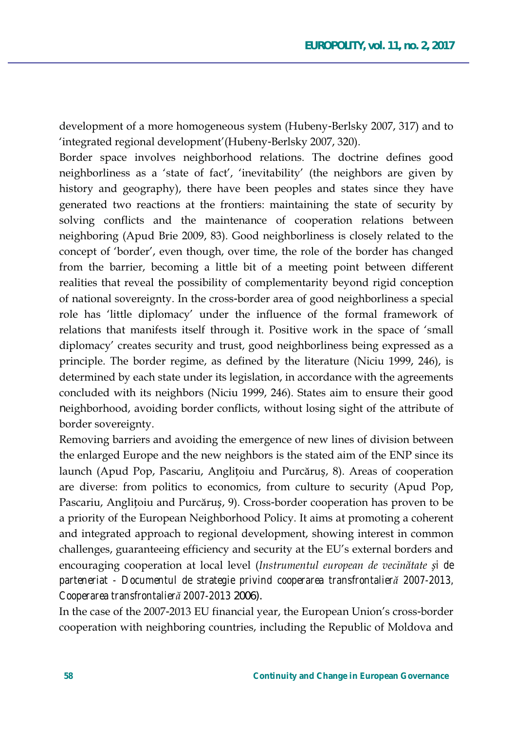development of a more homogeneous system (Hubeny-Berlsky 2007, 317) and to 'integrated regional development' (Hubeny-Berlsky 2007, 320).

Border space involves neighborhood relations. The doctrine defines good neighborliness as a 'state of fact', 'inevitability' (the neighbors are given by history and geography), there have been peoples and states since they have generated two reactions at the frontiers: maintaining the state of security by solving conflicts and the maintenance of cooperation relations between neighboring (Apud Brie 2009, 83). Good neighborliness is closely related to the concept of 'border', even though, over time, the role of the border has changed from the barrier, becoming a little bit of a meeting point between different realities that reveal the possibility of complementarity beyond rigid conception of national sovereignty. In the cross-border area of good neighborliness a special role has 'little diplomacy' under the influence of the formal framework of relations that manifests itself through it. Positive work in the space of 'small diplomacy' creates security and trust, good neighborliness being expressed as a principle. The border regime, as defined by the literature (Niciu 1999, 246), is determined by each state under its legislation, in accordance with the agreements concluded with its neighbors (Niciu 1999, 246). States aim to ensure their good neighborhood, avoiding border conflicts, without losing sight of the attribute of border sovereignty.

Removing barriers and avoiding the emergence of new lines of division between the enlarged Europe and the new neighbors is the stated aim of the ENP since its launch (Apud Pop, Pascariu, Anglitoiu and Purcăruș, 8). Areas of cooperation are diverse: from politics to economics, from culture to security (Apud Pop, Pascariu, Anglitoiu and Purcărus, 9). Cross-border cooperation has proven to be a priority of the European Neighborhood Policy. It aims at promoting a coherent and integrated approach to regional development, showing interest in common challenges, guaranteeing efficiency and security at the EU's external borders and encouraging cooperation at local level (Instrumentul european de vecinătate și de *parteneriat - Documentul de strategie privind cooperarea transfrontalierĆ 2007-2013, Cooperarea transfrontalierĆ 2007-2013* 2006).

In the case of the 2007-2013 EU financial year, the European Union's cross-border cooperation with neighboring countries, including the Republic of Moldova and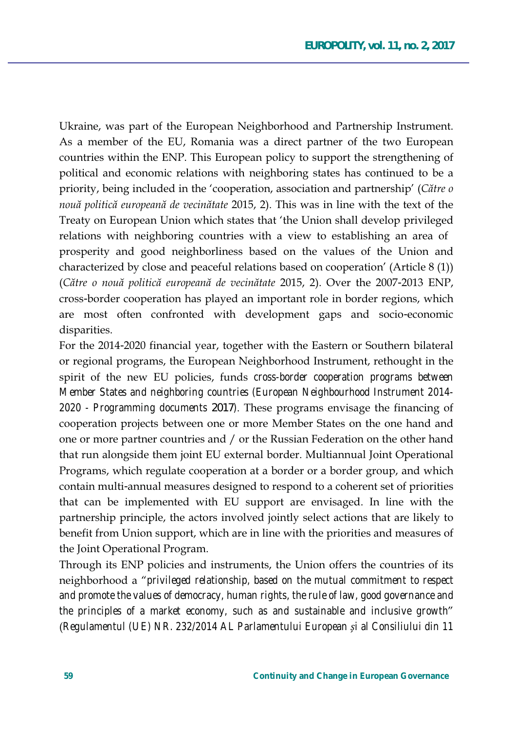Ukraine, was part of the European Neighborhood and Partnership Instrument. As a member of the EU, Romania was a direct partner of the two European countries within the ENP. This European policy to support the strengthening of political and economic relations with neighboring states has continued to be a priority, being included in the 'cooperation, association and partnership' (Către  $o$ nouă politică europeană de vecinătate 2015, 2). This was in line with the text of the Treaty on European Union which states that 'the Union shall develop privileged relations with neighboring countries with a view to establishing an area of prosperity and good neighborliness based on the values of the Union and characterized by close and peaceful relations based on cooperation' (Article 8 (1)) (Către o nouă politică europeană de vecinătate 2015, 2). Over the 2007-2013 ENP, cross-border cooperation has played an important role in border regions, which are most often confronted with development gaps and socio-economic disparities.

For the 2014-2020 financial year, together with the Eastern or Southern bilateral or regional programs, the European Neighborhood Instrument, rethought in the spirit of the new EU policies, funds cross-border cooperation programs between Member States and neighboring countries (European Neighbourhood Instrument 2014-2020 - Programming documents 2017). These programs envisage the financing of cooperation projects between one or more Member States on the one hand and one or more partner countries and / or the Russian Federation on the other hand that run alongside them joint EU external border. Multiannual Joint Operational Programs, which regulate cooperation at a border or a border group, and which contain multi-annual measures designed to respond to a coherent set of priorities that can be implemented with EU support are envisaged. In line with the partnership principle, the actors involved jointly select actions that are likely to benefit from Union support, which are in line with the priorities and measures of the Joint Operational Program.

Through its ENP policies and instruments, the Union offers the countries of its neighborhood a "*privileged relationship*, based on the mutual commitment to respect and promote the values of democracy, human rights, the rule of law, good governance and the principles of a market economy, such as and sustainable and inclusive growth" (Regulamentul (UE) NR. 232/2014 AL Parlamentului European și al Consiliului din 11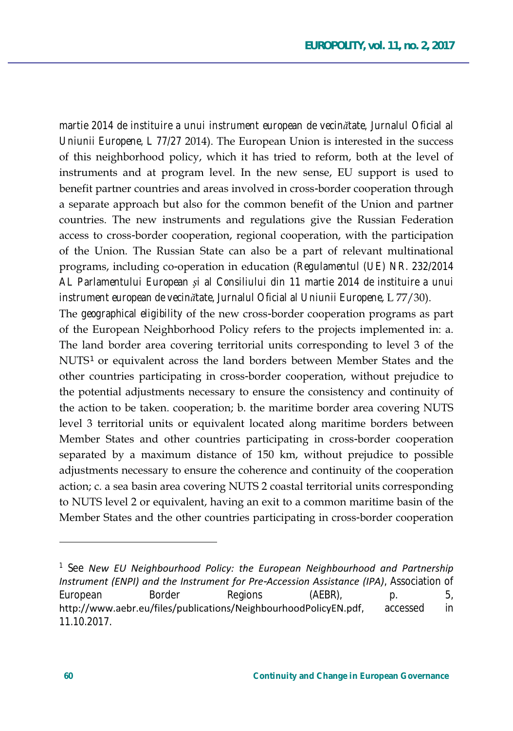martie 2014 de instituire a unui instrument european de vecinătate, Jurnalul Oficial al *Uniunii Europene, L 77/27* 2014). The European Union is interested in the success of this neighborhood policy, which it has tried to reform, both at the level of instruments and at program level. In the new sense, EU support is used to benefit partner countries and areas involved in cross-border cooperation through a separate approach but also for the common benefit of the Union and partner countries. The new instruments and regulations give the Russian Federation access to cross-border cooperation, regional cooperation, with the participation of the Union. The Russian State can also be a part of relevant multinational programs, including co-operation in education (Regulamentul (UE) NR. 232/2014 *AL Parlamentului European èi al Consiliului din 11 martie 2014 de instituire a unui instrument european de vecinătate, Jurnalul Oficial al Uniunii Europene, L 77/30*).

The *geographical eligibility* of the new cross-border cooperation programs as part of the European Neighborhood Policy refers to the projects implemented in: a. The land border area covering territorial units corresponding to level 3 of the NUTS<sup>1</sup> or equivalent across the land borders between Member States and the other countries participating in cross-border cooperation, without prejudice to the potential adjustments necessary to ensure the consistency and continuity of the action to be taken. cooperation; b. the maritime border area covering NUTS level 3 territorial units or equivalent located along maritime borders between Member States and other countries participating in cross-border cooperation separated by a maximum distance of 150 km, without prejudice to possible adjustments necessary to ensure the coherence and continuity of the cooperation action; c. a sea basin area covering NUTS 2 coastal territorial units corresponding to NUTS level 2 or equivalent, having an exit to a common maritime basin of the Member States and the other countries participating in cross-border cooperation

 $\overline{a}$ 

<sup>&</sup>lt;sup>1</sup> See New EU Neighbourhood Policy: the European Neighbourhood and Partnership */Instrument (ENPI) and the Instrument for Pre-Accession Assistance (IPA), Association of* European Border Regions (AEBR), p. 5, http://www.aebr.eu/files/publications/NeighbourhoodPolicyEN.pdf, accessed in 11.10.2017.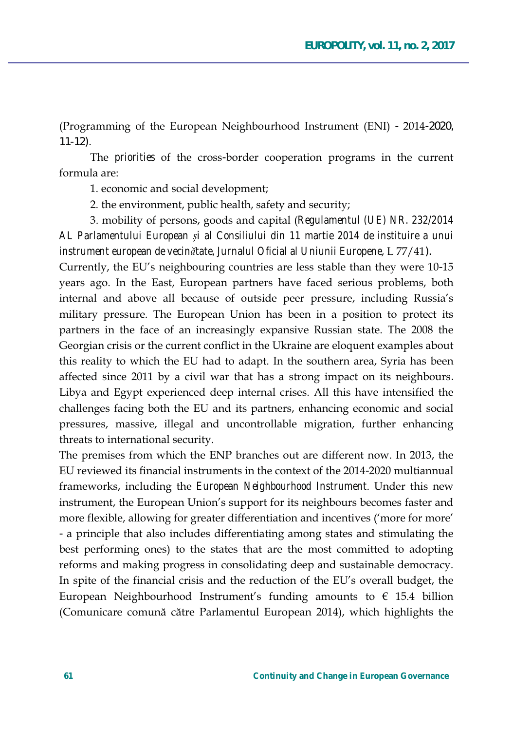(Programming of the European Neighbourhood Instrument (ENI) - 2014-2020, 11-12).

The *priorities* of the cross-border cooperation programs in the current formula are:

1. economic and social development;

2. the environment, public health, safety and security;

3. mobility of persons, goods and capital (Regulamentul (UE) NR. 232/2014 *AL Parlamentului European èi al Consiliului din 11 martie 2014 de instituire a unui instrument european de vecinătate, Jurnalul Oficial al Uniunii Europene, L 77/41*).

Currently, the EU's neighbouring countries are less stable than they were 10-15 years ago. In the East, European partners have faced serious problems, both internal and above all because of outside peer pressure, including Russia's military pressure. The European Union has been in a position to protect its partners in the face of an increasingly expansive Russian state. The 2008 the Georgian crisis or the current conflict in the Ukraine are eloquent examples about this reality to which the EU had to adapt. In the southern area, Syria has been affected since 2011 by a civil war that has a strong impact on its neighbours. Libya and Egypt experienced deep internal crises. All this have intensified the challenges facing both the EU and its partners, enhancing economic and social pressures, massive, illegal and uncontrollable migration, further enhancing threats to international security.

The premises from which the ENP branches out are different now. In 2013, the EU reviewed its financial instruments in the context of the 2014-2020 multiannual frameworks, including the *European Neighbourhood Instrument*. Under this new instrument, the European Union's support for its neighbours becomes faster and more flexible, allowing for greater differentiation and incentives ('more for more' - a principle that also includes differentiating among states and stimulating the best performing ones) to the states that are the most committed to adopting reforms and making progress in consolidating deep and sustainable democracy. In spite of the financial crisis and the reduction of the EU's overall budget, the European Neighbourhood Instrument's funding amounts to  $\epsilon$  15.4 billion (Comunicare comună către Parlamentul European 2014), which highlights the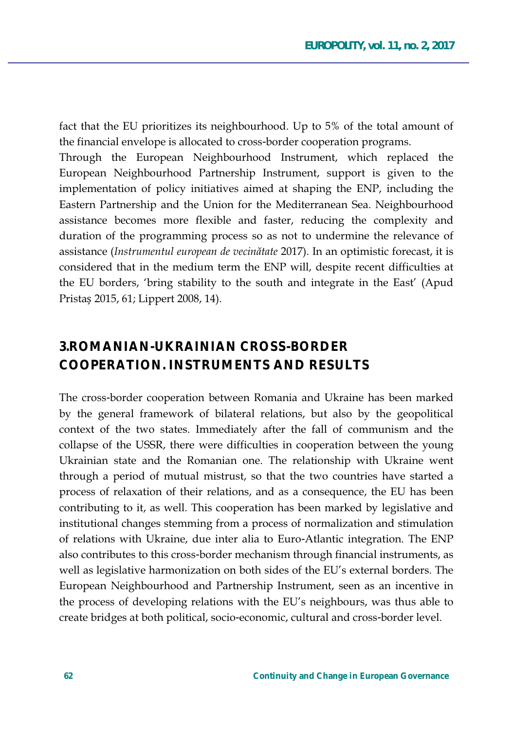fact that the EU prioritizes its neighbourhood. Up to 5% of the total amount of the financial envelope is allocated to cross-border cooperation programs.

Through the European Neighbourhood Instrument, which replaced the European Neighbourhood Partnership Instrument, support is given to the implementation of policy initiatives aimed at shaping the ENP, including the Eastern Partnership and the Union for the Mediterranean Sea. Neighbourhood assistance becomes more flexible and faster, reducing the complexity and duration of the programming process so as not to undermine the relevance of assistance (Instrumentul european de vecinătate 2017). In an optimistic forecast, it is considered that in the medium term the ENP will, despite recent difficulties at the EU borders, 'bring stability to the south and integrate in the East' (Apud Pristas 2015, 61; Lippert 2008, 14).

## **3.ROMANIAN-UKRAINIAN CROSS-BORDER COOPERATION. INSTRUMENTS AND RESULTS**

The cross-border cooperation between Romania and Ukraine has been marked by the general framework of bilateral relations, but also by the geopolitical context of the two states. Immediately after the fall of communism and the collapse of the USSR, there were difficulties in cooperation between the young Ukrainian state and the Romanian one. The relationship with Ukraine went through a period of mutual mistrust, so that the two countries have started a process of relaxation of their relations, and as a consequence, the EU has been contributing to it, as well. This cooperation has been marked by legislative and institutional changes stemming from a process of normalization and stimulation of relations with Ukraine, due inter alia to Euro-Atlantic integration. The ENP also contributes to this cross-border mechanism through financial instruments, as well as legislative harmonization on both sides of the EU's external borders. The European Neighbourhood and Partnership Instrument, seen as an incentive in the process of developing relations with the EU's neighbours, was thus able to create bridges at both political, socio-economic, cultural and cross-border level.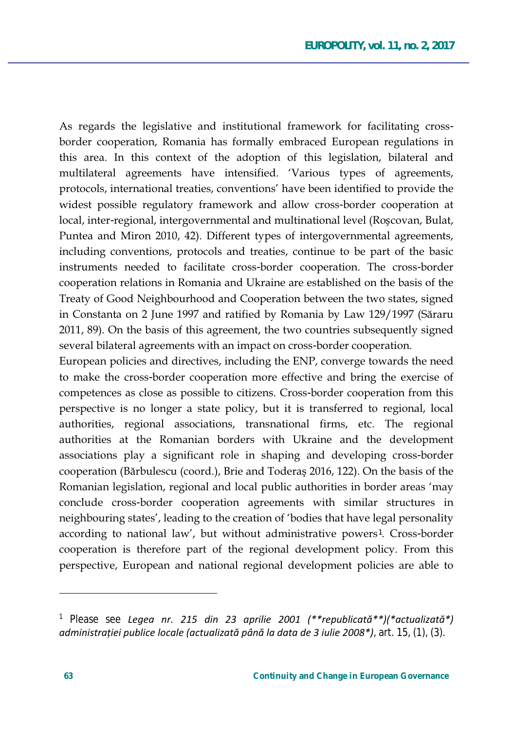As regards the legislative and institutional framework for facilitating crossborder cooperation, Romania has formally embraced European regulations in this area. In this context of the adoption of this legislation, bilateral and multilateral agreements have intensified. 'Various types of agreements, protocols, international treaties, conventions' have been identified to provide the widest possible regulatory framework and allow cross-border cooperation at local, inter-regional, intergovernmental and multinational level (Roscovan, Bulat, Puntea and Miron 2010, 42). Different types of intergovernmental agreements, including conventions, protocols and treaties, continue to be part of the basic instruments needed to facilitate cross-border cooperation. The cross-border cooperation relations in Romania and Ukraine are established on the basis of the Treaty of Good Neighbourhood and Cooperation between the two states, signed in Constanta on 2 June 1997 and ratified by Romania by Law 129/1997 (Săraru 2011, 89). On the basis of this agreement, the two countries subsequently signed several bilateral agreements with an impact on cross-border cooperation.

European policies and directives, including the ENP, converge towards the need to make the cross-border cooperation more effective and bring the exercise of competences as close as possible to citizens. Cross-border cooperation from this perspective is no longer a state policy, but it is transferred to regional, local authorities, regional associations, transnational firms, etc. The regional authorities at the Romanian borders with Ukraine and the development associations play a significant role in shaping and developing cross-border cooperation (Bărbulescu (coord.), Brie and Toderas 2016, 122). On the basis of the Romanian legislation, regional and local public authorities in border areas 'may conclude cross-border cooperation agreements with similar structures in neighbouring states', leading to the creation of 'bodies that have legal personality according to national law', but without administrative powers<sup>1</sup>. Cross-border cooperation is therefore part of the regional development policy. From this perspective, European and national regional development policies are able to

<sup>&</sup>lt;sup>1</sup> Please see Legea nr. 215 din 23 aprilie 2001 (\*\*republicată\*\*)(\*actualizată\*) administrației publice locale (actualizată până la data de 3 iulie 2008\*), art. 15, (1), (3).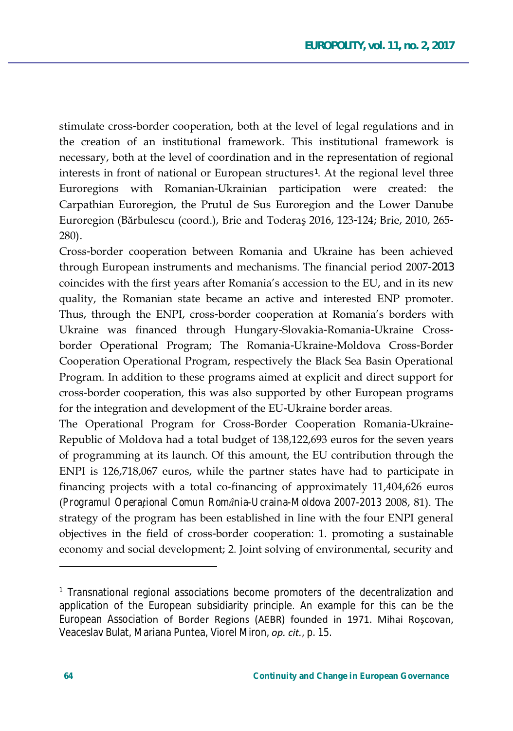stimulate cross-border cooperation, both at the level of legal regulations and in the creation of an institutional framework. This institutional framework is necessary, both at the level of coordination and in the representation of regional interests in front of national or European structures<sup>1</sup>. At the regional level three Euroregions with Romanian-Ukrainian participation were created: the Carpathian Euroregion, the Prutul de Sus Euroregion and the Lower Danube Euroregion (Bărbulescu (coord.), Brie and Toderaș 2016, 123-124; Brie, 2010, 265- $280$ ).

Cross-border cooperation between Romania and Ukraine has been achieved through European instruments and mechanisms. The financial period 2007-2013 coincides with the first years after Romania's accession to the EU, and in its new quality, the Romanian state became an active and interested ENP promoter. Thus, through the ENPI, cross-border cooperation at Romania's borders with Ukraine was financed through Hungary-Slovakia-Romania-Ukraine Crossborder Operational Program; The Romania-Ukraine-Moldova Cross-Border Cooperation Operational Program, respectively the Black Sea Basin Operational Program. In addition to these programs aimed at explicit and direct support for cross-border cooperation, this was also supported by other European programs for the integration and development of the EU-Ukraine border areas.

The Operational Program for Cross-Border Cooperation Romania-Ukraine-Republic of Moldova had a total budget of 138,122,693 euros for the seven years of programming at its launch. Of this amount, the EU contribution through the ENPI is 126,718,067 euros, while the partner states have had to participate in financing projects with a total co-financing of approximately 11,404,626 euros (Programul Operațional Comun România-Ucraina-Moldova 2007-2013 2008, 81). The strategy of the program has been established in line with the four ENPI general objectives in the field of cross-border cooperation: 1. promoting a sustainable economy and social development; 2. Joint solving of environmental, security and

<sup>&</sup>lt;sup>1</sup> Transnational regional associations become promoters of the decentralization and application of the European subsidiarity principle. An example for this can be the European Association of Border Regions (AEBR) founded in 1971. Mihai Roscovan, Veaceslav Bulat, Mariana Puntea, Viorel Miron, op. cit., p. 15.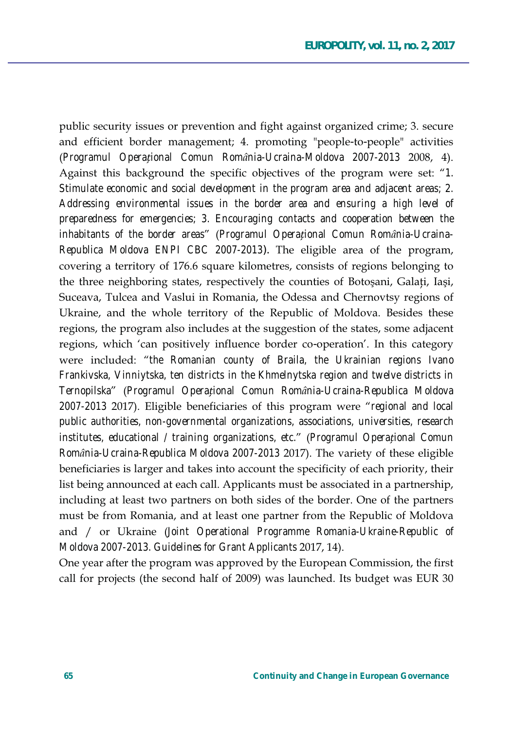public security issues or prevention and fight against organized crime; 3. secure and efficient border management; 4. promoting "people-to-people" activities (Programul Operational Comun România-Ucraina-Moldova 2007-2013 2008, 4). Against this background the specific objectives of the program were set: "1. Stimulate economic and social development in the program area and adjacent areas; 2. Addressing environmental issues in the border area and ensuring a high level of preparedness for emergencies; 3. Encouraging contacts and cooperation between the inhabitants of the border areas" (Programul Operațional Comun România-Ucraina-Republica Moldova ENPI CBC 2007-2013). The eligible area of the program, covering a territory of 176.6 square kilometres, consists of regions belonging to the three neighboring states, respectively the counties of Botosani, Galati, Iasi, Suceava, Tulcea and Vaslui in Romania, the Odessa and Chernovtsy regions of Ukraine, and the whole territory of the Republic of Moldova. Besides these regions, the program also includes at the suggestion of the states, some adjacent regions, which 'can positively influence border co-operation'. In this category were included: "the Romanian county of Braila, the Ukrainian regions Ivano Frankivska, Vinniytska, ten districts in the Khmelnytska region and twelve districts in Ternopilska" (Programul Operational Comun România-Ucraina-Republica Moldova 2007-2013 2017). Eligible beneficiaries of this program were "regional and local public authorities, non-governmental organizations, associations, universities, research institutes, educational / training organizations, etc." (Programul Operațional Comun România-Ucraina-Republica Moldova 2007-2013 2017). The variety of these eligible beneficiaries is larger and takes into account the specificity of each priority, their list being announced at each call. Applicants must be associated in a partnership, including at least two partners on both sides of the border. One of the partners must be from Romania, and at least one partner from the Republic of Moldova and / or Ukraine (Joint Operational Programme Romania-Ukraine-Republic of Moldova 2007-2013. Guidelines for Grant Applicants 2017, 14).

One year after the program was approved by the European Commission, the first call for projects (the second half of 2009) was launched. Its budget was EUR 30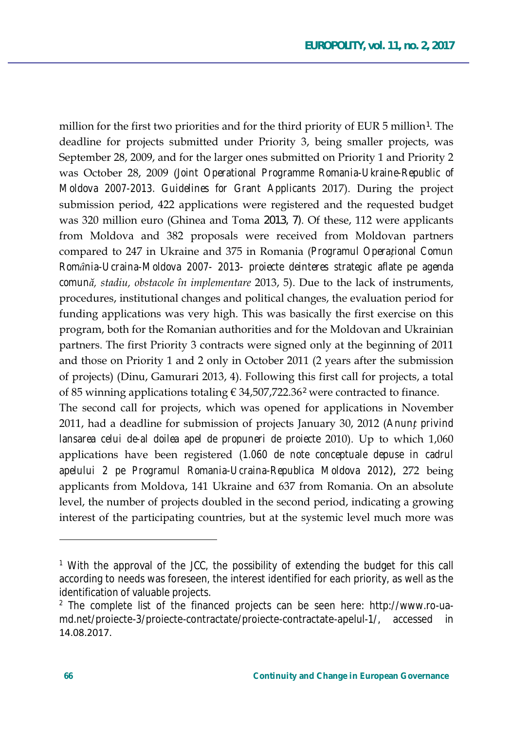million for the first two priorities and for the third priority of EUR 5 million<sup>1</sup>. The deadline for projects submitted under Priority 3, being smaller projects, was September 28, 2009, and for the larger ones submitted on Priority 1 and Priority 2 was October 28, 2009 (Joint Operational Programme Romania-Ukraine-Republic of Moldova 2007-2013. Guidelines for Grant Applicants 2017). During the project submission period, 422 applications were registered and the requested budget was 320 million euro (Ghinea and Toma 2013, 7). Of these, 112 were applicants from Moldova and 382 proposals were received from Moldovan partners compared to 247 in Ukraine and 375 in Romania (Programul Operational Comun România-Ucraina-Moldova 2007- 2013- proiecte deinteres strategic aflate pe agenda comună, stadiu, obstacole în implementare 2013, 5). Due to the lack of instruments, procedures, institutional changes and political changes, the evaluation period for funding applications was very high. This was basically the first exercise on this program, both for the Romanian authorities and for the Moldovan and Ukrainian partners. The first Priority 3 contracts were signed only at the beginning of 2011 and those on Priority 1 and 2 only in October 2011 (2 years after the submission of projects) (Dinu, Gamurari 2013, 4). Following this first call for projects, a total of 85 winning applications totaling  $\epsilon$  34,507,722.36<sup>2</sup> were contracted to finance.

The second call for projects, which was opened for applications in November 2011, had a deadline for submission of projects January 30, 2012 (Anunt privind lansarea celui de-al doilea apel de propuneri de proiecte 2010). Up to which 1,060 applications have been registered (1.060 de note conceptuale depuse in cadrul apelului 2 pe Programul Romania-Ucraina-Republica Moldova 2012), 272 being applicants from Moldova, 141 Ukraine and 637 from Romania. On an absolute level, the number of projects doubled in the second period, indicating a growing interest of the participating countries, but at the systemic level much more was

<sup>&</sup>lt;sup>1</sup> With the approval of the JCC, the possibility of extending the budget for this call according to needs was foreseen, the interest identified for each priority, as well as the identification of valuable projects.

<sup>&</sup>lt;sup>2</sup> The complete list of the financed projects can be seen here: http://www.ro-uamd.net/proiecte-3/proiecte-contractate/proiecte-contractate-apelul-1/, accessed in 14.08.2017.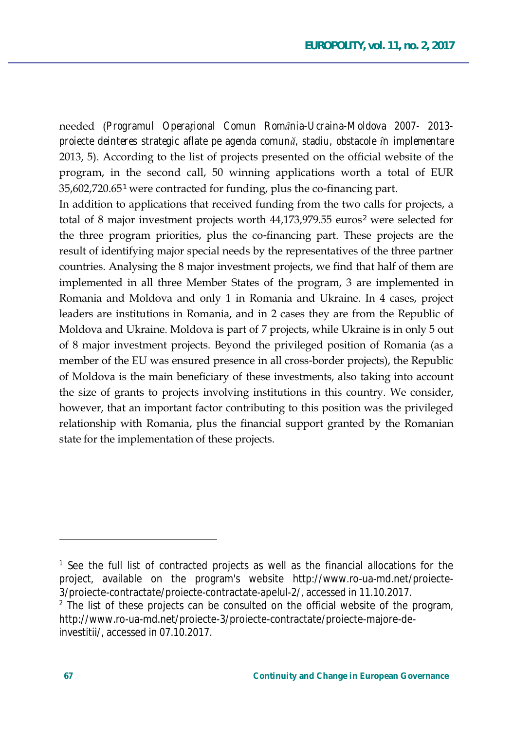needed (Programul Operațional Comun România-Ucraina-Moldova 2007- 2013projecte deinteres strategic aflate pe agenda comună, stadiu, obstacole în implementare 2013, 5). According to the list of projects presented on the official website of the program, in the second call, 50 winning applications worth a total of EUR 35,602,720.65<sup>1</sup> were contracted for funding, plus the co-financing part.

In addition to applications that received funding from the two calls for projects, a total of 8 major investment projects worth 44,173,979.55 euros<sup>2</sup> were selected for the three program priorities, plus the co-financing part. These projects are the result of identifying major special needs by the representatives of the three partner countries. Analysing the 8 major investment projects, we find that half of them are implemented in all three Member States of the program, 3 are implemented in Romania and Moldova and only 1 in Romania and Ukraine. In 4 cases, project leaders are institutions in Romania, and in 2 cases they are from the Republic of Moldova and Ukraine. Moldova is part of 7 projects, while Ukraine is in only 5 out of 8 major investment projects. Beyond the privileged position of Romania (as a member of the EU was ensured presence in all cross-border projects), the Republic of Moldova is the main beneficiary of these investments, also taking into account the size of grants to projects involving institutions in this country. We consider, however, that an important factor contributing to this position was the privileged relationship with Romania, plus the financial support granted by the Romanian state for the implementation of these projects.

<sup>&</sup>lt;sup>1</sup> See the full list of contracted projects as well as the financial allocations for the project, available on the program's website http://www.ro-ua-md.net/proiecte-3/proiecte-contractate/proiecte-contractate-apelul-2/, accessed in 11.10.2017.

<sup>&</sup>lt;sup>2</sup> The list of these projects can be consulted on the official website of the program, http://www.ro-ua-md.net/proiecte-3/proiecte-contractate/proiecte-majore-deinvestitii/, accessed in 07.10.2017.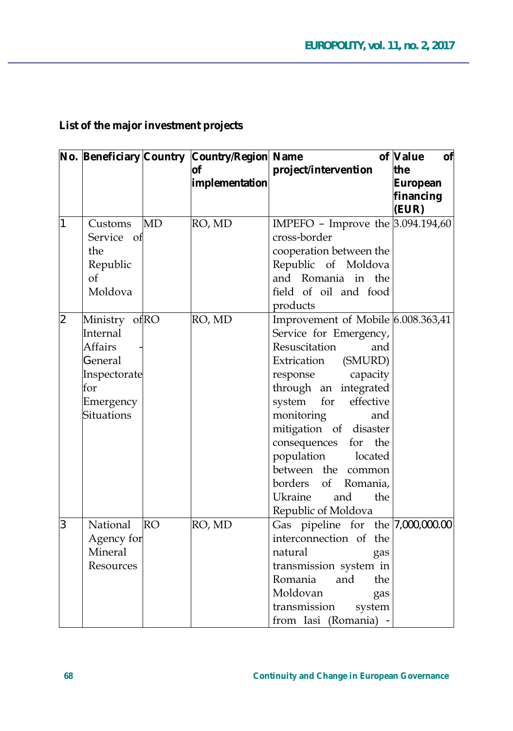|                |                   |           |                | No. Beneficiary Country Country/Region Name | of Value<br>of |  |
|----------------|-------------------|-----------|----------------|---------------------------------------------|----------------|--|
|                |                   |           | Οf             | project/intervention                        | the            |  |
|                |                   |           | implementation |                                             | European       |  |
|                |                   |           |                |                                             | financing      |  |
|                |                   |           |                |                                             | (EUR)          |  |
| 1              | Customs           | <b>MD</b> | RO, MD         | IMPEFO - Improve the 3.094.194,60           |                |  |
|                | Service of        |           |                | cross-border                                |                |  |
|                | the               |           |                | cooperation between the                     |                |  |
|                | Republic          |           |                | Republic of Moldova                         |                |  |
|                | $\alpha$ f        |           |                | and Romania in the                          |                |  |
|                | Moldova           |           |                | field of oil and food                       |                |  |
|                |                   |           |                | products                                    |                |  |
| $\overline{2}$ | Ministry ofRO     |           | RO, MD         | Improvement of Mobile 6.008.363,41          |                |  |
|                | Internal          |           |                | Service for Emergency,                      |                |  |
|                | Affairs           |           |                | Resuscitation<br>and                        |                |  |
|                | General           |           |                | Extrication (SMURD)                         |                |  |
|                | Inspectorate      |           |                | response capacity                           |                |  |
|                | for               |           |                | through an integrated                       |                |  |
|                | Emergency         |           |                | system for<br>effective                     |                |  |
|                | <b>Situations</b> |           |                | monitoring<br>and                           |                |  |
|                |                   |           |                | mitigation of disaster                      |                |  |
|                |                   |           |                | consequences for<br>the                     |                |  |
|                |                   |           |                | population<br>located                       |                |  |
|                |                   |           |                | between the common                          |                |  |
|                |                   |           |                | borders<br>of<br>Romania,                   |                |  |
|                |                   |           |                | Ukraine<br>and<br>the                       |                |  |
|                |                   |           |                | Republic of Moldova                         |                |  |
| 3              | National          | <b>RO</b> | RO, MD         | Gas pipeline for the 7,000,000.00           |                |  |
|                | Agency for        |           |                | interconnection of the                      |                |  |
|                | Mineral           |           |                | natural<br>gas                              |                |  |
|                | Resources         |           |                | transmission system in                      |                |  |
|                |                   |           |                | Romania<br>and<br>the                       |                |  |
|                |                   |           |                | Moldovan<br>gas                             |                |  |
|                |                   |           |                | transmission<br>system                      |                |  |
|                |                   |           |                | from Iasi (Romania) -                       |                |  |

### **List of the major investment projects**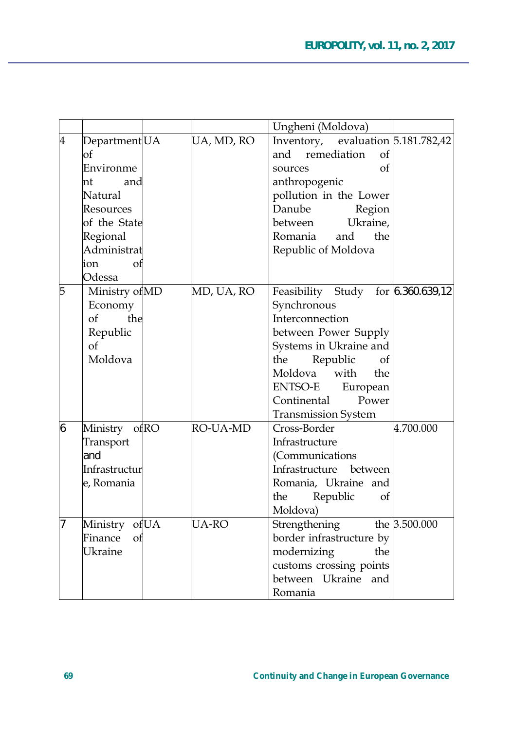|   |                          |              | Ungheni (Moldova)                  |  |
|---|--------------------------|--------------|------------------------------------|--|
| 4 | Department <sub>UA</sub> | UA, MD, RO   | Inventory, evaluation 5.181.782,42 |  |
|   | of                       |              | and<br>remediation<br>of           |  |
|   | Environme                |              | of<br>sources                      |  |
|   | nt<br>and                |              | anthropogenic                      |  |
|   | Natural                  |              | pollution in the Lower             |  |
|   | Resources                |              | Danube<br>Region                   |  |
|   | of the State             |              | Ukraine,<br>between                |  |
|   | Regional                 |              | Romania<br>and<br>the              |  |
|   | Administrat              |              | Republic of Moldova                |  |
|   | of<br>ion                |              |                                    |  |
|   | Odessa                   |              |                                    |  |
| 5 | Ministry of MD           | MD, UA, RO   | Feasibility Study for 6.360.639,12 |  |
|   | Economy                  |              | Synchronous                        |  |
|   | the<br>of                |              | Interconnection                    |  |
|   | Republic                 |              | between Power Supply               |  |
|   | of                       |              | Systems in Ukraine and             |  |
|   | Moldova                  |              | the<br>Republic<br>of              |  |
|   |                          |              | with<br>Moldova<br>the             |  |
|   |                          |              | <b>ENTSO-E</b><br>European         |  |
|   |                          |              | Power<br>Continental               |  |
|   |                          |              | <b>Transmission System</b>         |  |
| 6 | ofRO<br>Ministry         | RO-UA-MD     | Cross-Border<br>4.700.000          |  |
|   | Transport                |              | Infrastructure                     |  |
|   | and                      |              | (Communications                    |  |
|   | Infrastructur            |              | Infrastructure between             |  |
|   | e, Romania               |              | Romania, Ukraine and               |  |
|   |                          |              | Republic<br>the<br>of              |  |
|   |                          |              | Moldova)                           |  |
| 7 | Ministry of UA           | <b>UA-RO</b> | Strengthening<br>the 3.500.000     |  |
|   | Finance<br>of            |              | border infrastructure by           |  |
|   | Ukraine                  |              | modernizing<br>the                 |  |
|   |                          |              | customs crossing points            |  |
|   |                          |              | between Ukraine and                |  |
|   |                          |              | Romania                            |  |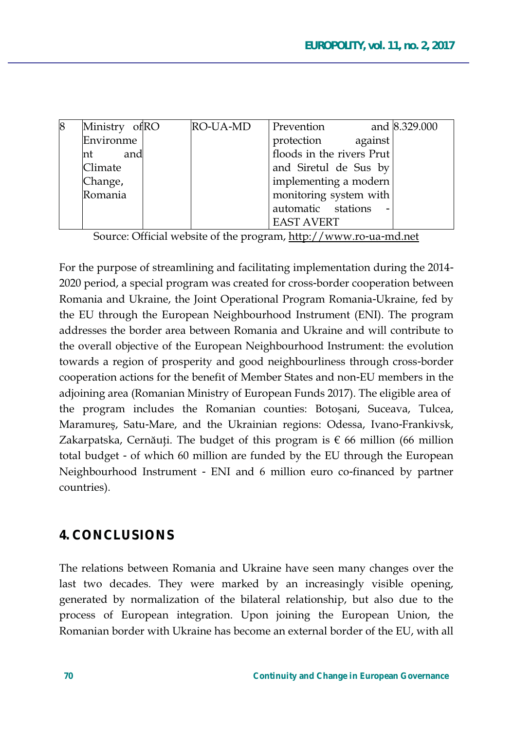| 8 | Ministry ofRO | RO-UA-MD | Prevention                |         | and 8.329.000 |
|---|---------------|----------|---------------------------|---------|---------------|
|   | Environme     |          | protection                | against |               |
|   | and<br>nt     |          | floods in the rivers Prut |         |               |
|   | Climate       |          | and Siretul de Sus by     |         |               |
|   | Change,       |          | implementing a modern     |         |               |
|   | Romania       |          | monitoring system with    |         |               |
|   |               |          | automatic stations        |         |               |
|   |               |          | <b>EAST AVERT</b>         |         |               |

Source: Official website of the program, http://www.ro-ua-md.net

For the purpose of streamlining and facilitating implementation during the 2014-2020 period, a special program was created for cross-border cooperation between Romania and Ukraine, the Joint Operational Program Romania-Ukraine, fed by the EU through the European Neighbourhood Instrument (ENI). The program addresses the border area between Romania and Ukraine and will contribute to the overall objective of the European Neighbourhood Instrument: the evolution towards a region of prosperity and good neighbourliness through cross-border cooperation actions for the benefit of Member States and non-EU members in the adjoining area (Romanian Ministry of European Funds 2017). The eligible area of the program includes the Romanian counties: Botoșani, Suceava, Tulcea, Maramures, Satu-Mare, and the Ukrainian regions: Odessa, Ivano-Frankivsk, Zakarpatska, Cernăuți. The budget of this program is  $\epsilon$  66 million (66 million total budget - of which 60 million are funded by the EU through the European Neighbourhood Instrument - ENI and 6 million euro co-financed by partner countries).

### **4. CONCLUSIONS**

The relations between Romania and Ukraine have seen many changes over the last two decades. They were marked by an increasingly visible opening, generated by normalization of the bilateral relationship, but also due to the process of European integration. Upon joining the European Union, the Romanian border with Ukraine has become an external border of the EU, with all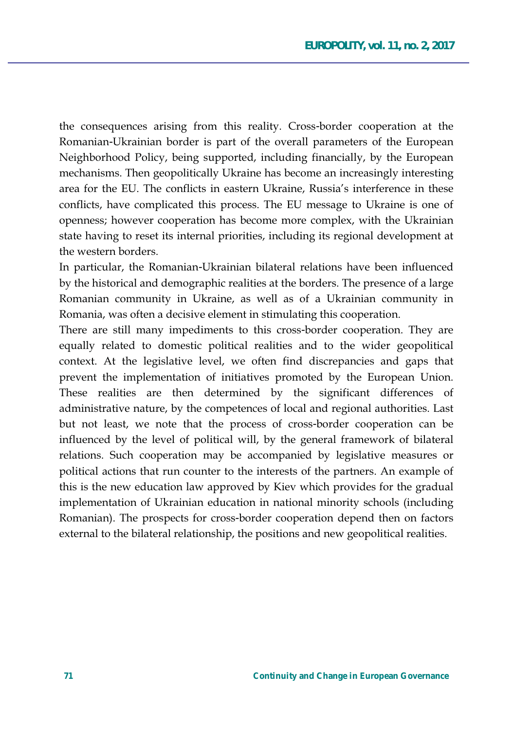the consequences arising from this reality. Cross-border cooperation at the Romanian-Ukrainian border is part of the overall parameters of the European Neighborhood Policy, being supported, including financially, by the European mechanisms. Then geopolitically Ukraine has become an increasingly interesting area for the EU. The conflicts in eastern Ukraine, Russia's interference in these conflicts, have complicated this process. The EU message to Ukraine is one of openness; however cooperation has become more complex, with the Ukrainian state having to reset its internal priorities, including its regional development at the western borders

In particular, the Romanian-Ukrainian bilateral relations have been influenced by the historical and demographic realities at the borders. The presence of a large Romanian community in Ukraine, as well as of a Ukrainian community in Romania, was often a decisive element in stimulating this cooperation.

There are still many impediments to this cross-border cooperation. They are equally related to domestic political realities and to the wider geopolitical context. At the legislative level, we often find discrepancies and gaps that prevent the implementation of initiatives promoted by the European Union. These realities are then determined by the significant differences of administrative nature, by the competences of local and regional authorities. Last but not least, we note that the process of cross-border cooperation can be influenced by the level of political will, by the general framework of bilateral relations. Such cooperation may be accompanied by legislative measures or political actions that run counter to the interests of the partners. An example of this is the new education law approved by Kiev which provides for the gradual implementation of Ukrainian education in national minority schools (including Romanian). The prospects for cross-border cooperation depend then on factors external to the bilateral relationship, the positions and new geopolitical realities.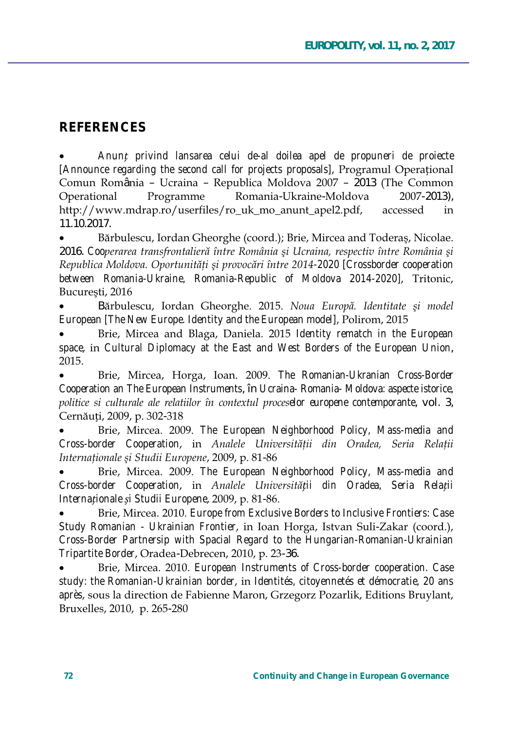## **REFERENCES**

Anunt privind lansarea celui de-al doilea apel de propuneri de proiecte [Announce regarding the second call for projects proposals], Programul Operational Comun România - Ucraina - Republica Moldova 2007 - 2013 (The Common Operational Programme Romania-Ukraine-Moldova  $2007 - 2013$ . http://www.mdrap.ro/userfiles/ro\_uk\_mo\_anunt\_apel2.pdf, accessed in 11.10.2017.

Bărbulescu, Iordan Gheorghe (coord.); Brie, Mircea and Toderas, Nicolae. 2016. Cooperarea transfrontalieră între România și Ucraina, respectiv între România și Republica Moldova. Oportunităti și provocări între 2014-2020 [Crossborder cooperation between Romania-Ukraine, Romania-Republic of Moldova 2014-2020], Tritonic, București, 2016

Bărbulescu, Iordan Gheorghe. 2015. Noua Europă. Identitate și model European (The New Europe. Identity and the European model), Polirom, 2015

Brie, Mircea and Blaga, Daniela. 2015 Identity rematch in the European space, in Cultural Diplomacy at the East and West Borders of the European Union, 2015.

Brie, Mircea, Horga, Ioan. 2009. The Romanian-Ukranian Cross-Border Cooperation an The European Instruments, în Ucraina- Romania- Moldova: aspecte istorice, politice si culturale ale relatiilor în contextul proceselor europene contemporante, vol. 3, Cernăuți, 2009, p. 302-318

Brie, Mircea. 2009. The European Neighborhood Policy, Mass-media and Cross-border Cooperation, in Analele Universității din Oradea, Seria Relații Internaționale și Studii Europene, 2009, p. 81-86

Brie, Mircea. 2009. The European Neighborhood Policy, Mass-media and Cross-border Cooperation, in Analele Universității din Oradea, Seria Relații Internationale si Studii Europene, 2009, p. 81-86.

Brie, Mircea. 2010. Europe from Exclusive Borders to Inclusive Frontiers: Case Study Romanian - Ukrainian Frontier, in Ioan Horga, Istvan Suli-Zakar (coord.), Cross-Border Partnersip with Spacial Regard to the Hungarian-Romanian-Ukrainian Tripartite Border, Oradea-Debrecen, 2010, p. 23-36.

Brie, Mircea. 2010. European Instruments of Cross-border cooperation. Case study: the Romanian-Ukrainian border, in Identités, citoyennetés et démocratie, 20 ans après, sous la direction de Fabienne Maron, Grzegorz Pozarlik, Editions Bruylant, Bruxelles, 2010, p. 265-280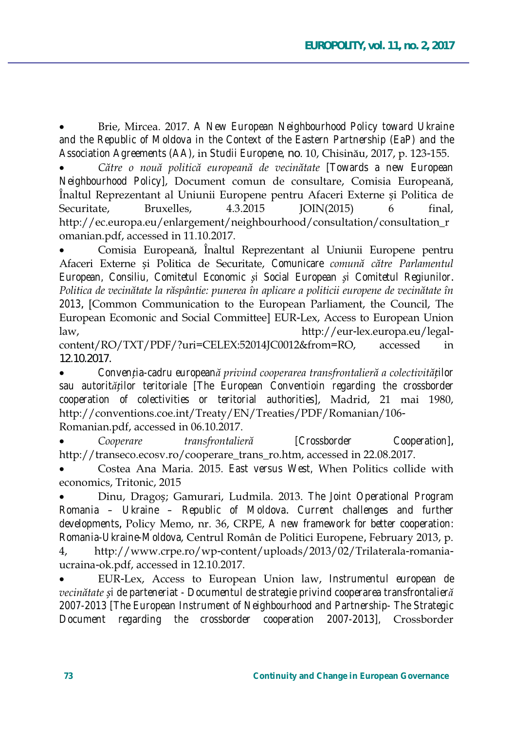Brie, Mircea, 2017. A New European Neighbourhood Policy toward Ukraine and the Republic of Moldova in the Context of the Eastern Partnership (EaP) and the Association Agreements (AA), in Studii Europene, no. 10, Chisinău, 2017, p. 123-155.

Către o nouă politică europeană de vecinătate [Towards a new European Neighbourhood Policy], Document comun de consultare, Comisia Europeană, Înaltul Reprezentant al Uniunii Europene pentru Afaceri Externe și Politica de 4.3.2015 Securitate. Bruxelles.  $IOIN(2015)$ 6 final. http://ec.europa.eu/enlargement/neighbourhood/consultation/consultation\_r omanian.pdf, accessed in 11.10.2017.

Comisia Europeană, Înaltul Reprezentant al Uniunii Europene pentru Afaceri Externe si Politica de Securitate, Comunicare comună către Parlamentul European, Consiliu, Comitetul Economic și Social European și Comitetul Regiunilor. Politica de vecinătate la răspântie: punerea în aplicare a politicii europene de vecinătate în 2013, [Common Communication to the European Parliament, the Council, The European Ecomonic and Social Committee] EUR-Lex, Access to European Union http://eur-lex.europa.eu/legallaw.

content/RO/TXT/PDF/?uri=CELEX:52014JC0012&from=RO, accessed in 12.10.2017.

Convenția-cadru europeană privind cooperarea transfrontalieră a colectivităților sau autorităților teritoriale [The European Conventioin regarding the crossborder cooperation of colectivities or teritorial authorities], Madrid, 21 mai 1980, http://conventions.coe.int/Treaty/EN/Treaties/PDF/Romanian/106-Romanian.pdf, accessed in 06.10.2017.

Cooperare transfrontalieră *[Crossborder* Cooperation], http://transeco.ecosv.ro/cooperare\_trans\_ro.htm, accessed in 22.08.2017.

Costea Ana Maria. 2015. East versus West, When Politics collide with economics, Tritonic. 2015

Dinu, Dragos; Gamurari, Ludmila. 2013. The Joint Operational Program Romania - Ukraine - Republic of Moldova. Current challenges and further developments, Policy Memo, nr. 36, CRPE, A new framework for better cooperation: Romania-Ukraine-Moldova, Centrul Român de Politici Europene, February 2013, p. http://www.crpe.ro/wp-content/uploads/2013/02/Trilaterala-romania-4, ucraina-ok.pdf, accessed in 12.10.2017.

EUR-Lex, Access to European Union law, Instrumentul european de vecinătate și de parteneriat - Documentul de strategie privind cooperarea transfrontalieră 2007-2013 [The European Instrument of Neighbourhood and Partnership- The Strategic Document regarding the crossborder cooperation 2007-2013], Crossborder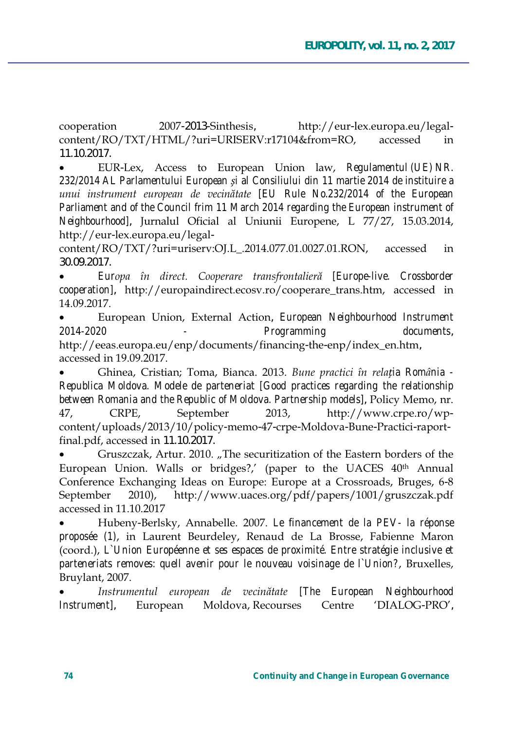cooperation 2007-2013-Sinthesis. http://eur-lex.europa.eu/legalcontent/RO/TXT/HTML/?uri=URISERV:r17104&from=RO. accessed in 11.10.2017.

EUR-Lex, Access to European Union law, Regulamentul (UE) NR. 232/2014 AL Parlamentului European și al Consiliului din 11 martie 2014 de instituire a unui instrument european de vecinătate [EU Rule No.232/2014 of the European Parliament and of the Council frim 11 March 2014 regarding the European instrument of Neighbourhood], Jurnalul Oficial al Uniunii Europene, L 77/27, 15.03.2014, http://eur-lex.europa.eu/legal-

content/RO/TXT/?uri=uriserv:OJ.L .2014.077.01.0027.01.RON, accessed in 30.09.2017.

Europa în direct. Cooperare transfrontalieră [Europe-live. Crossborder cooperation], http://europaindirect.ecosv.ro/cooperare\_trans.htm, accessed in 14.09.2017.

European Union, External Action, European Neighbourhood Instrument 2014-2020 Programming documents.

http://eeas.europa.eu/enp/documents/financing-the-enp/index en.htm, accessed in 19.09.2017.

Ghinea, Cristian; Toma, Bianca. 2013. Bune practici în relația România -Republica Moldova. Modele de parteneriat [Good practices regarding the relationship between Romania and the Republic of Moldova. Partnership models], Policy Memo, nr. 47. CRPE. September 2013. http://www.crpe.ro/wpcontent/uploads/2013/10/policy-memo-47-crpe-Moldova-Bune-Practici-raportfinal.pdf, accessed in 11.10.2017.

Gruszczak, Artur. 2010. "The securitization of the Eastern borders of the European Union. Walls or bridges?,' (paper to the UACES 40th Annual Conference Exchanging Ideas on Europe: Europe at a Crossroads, Bruges, 6-8  $2010$ , http://www.uaces.org/pdf/papers/1001/gruszczak.pdf September accessed in 11.10.2017

Hubeny-Berlsky, Annabelle. 2007. Le financement de la PEV- la réponse proposée (1), in Laurent Beurdeley, Renaud de La Brosse, Fabienne Maron (coord.), L'Union Européenne et ses espaces de proximité. Entre stratégie inclusive et parteneriats removes: quell avenir pour le nouveau voisinage de l'Union?, Bruxelles, Bruylant, 2007.

Instrumentul european de vecinătate [The European Neighbourhood Instrument], European Moldova, Recourses Centre 'DIALOG-PRO',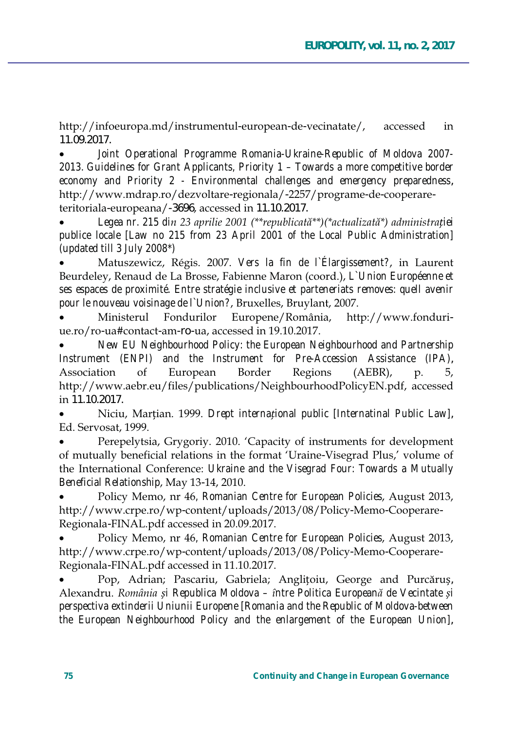http://infoeuropa.md/instrumentul-european-de-vecinatate/, accessed in 11.09.2017.

Joint Operational Programme Romania-Ukraine-Republic of Moldova 2007-*2013. Guidelines for Grant Applicants, Priority 1 – Towards a more competitive border economy and Priority 2 - Environmental challenges and emergency preparedness*, http://www.mdrap.ro/dezvoltare-regionala/-2257/programe-de-cooperareteritoriala-europeana/-3696, accessed in 11.10.2017.

Legea nr. 215 din 23 aprilie 2001 (\*\*republicată\*\*) (\*actualizată\*) administrației *publice locale [Law no 215 from 23 April 2001 of the Local Public Administration] (updated till 3 July 2008\*)*

Matuszewicz, Régis. 2007. *Vers la fin de l'Élargissement?*, in Laurent Beurdeley, Renaud de La Brosse, Fabienne Maron (coord.), L`Union Européenne et *ses espaces de proximité. Entre stratégie inclusive et parteneriats removes: quell avenir pour le nouveau voisinage de l`Union?*, Bruxelles, Bruylant, 2007.

Ministerul Fondurilor Europene/România, http://www.fonduriue.ro/ro-ua#contact-am-ro-ua, accessed in 19.10.2017.

x *New EU Neighbourhood Policy: the European Neighbourhood and Partnership Instrument (ENPI) and the Instrument for Pre-Accession Assistance (IPA)*, Association of European Border Regions (AEBR), p. 5, http://www.aebr.eu/files/publications/NeighbourhoodPolicyEN.pdf, accessed in 11.10.2017.

Niciu, Martian. 1999. *Drept international public [Internatinal Public Law]*, Ed. Servosat, 1999.

Perepelytsia, Grygoriy. 2010. 'Capacity of instruments for development of mutually beneficial relations in the format 'Uraine-Visegrad Plus,' volume of the International Conference: Ukraine and the Visegrad Four: Towards a Mutually *Beneficial Relationship*, May 13-14, 2010.

Policy Memo, nr 46, Romanian Centre for European Policies, August 2013, http://www.crpe.ro/wp-content/uploads/2013/08/Policy-Memo-Cooperare-Regionala-FINAL.pdf accessed in 20.09.2017.

Policy Memo, nr 46, Romanian Centre for European Policies, August 2013, http://www.crpe.ro/wp-content/uploads/2013/08/Policy-Memo-Cooperare-Regionala-FINAL.pdf accessed in 11.10.2017.

Pop, Adrian; Pascariu, Gabriela; Anglițoiu, George and Purcăruș,  $\Delta$ lexandru. România și Republica Moldova – între Politica Europeană de Vecintate și *perspectiva extinderii Uniunii Europene [Romania and the Republic of Moldova-between the European Neighbourhood Policy and the enlargement of the European Union]*,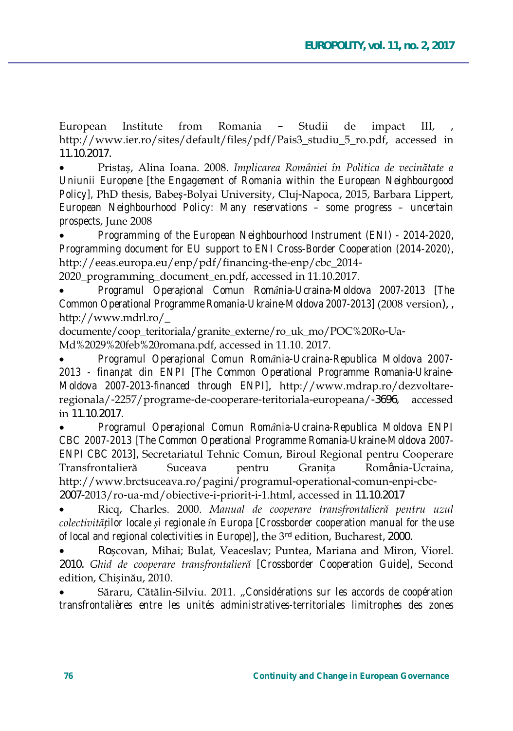European Institute from Romania  $\equiv$ Studii de impact III. http://www.ier.ro/sites/default/files/pdf/Pais3 studiu 5 ro.pdf, accessed in 11.10.2017.

Pristas, Alina Ioana. 2008. Implicarea României în Politica de vecinătate a Uniunii Europene [the Engagement of Romania within the European Neighbourgood Policy], PhD thesis, Babes-Bolyai University, Cluj-Napoca, 2015, Barbara Lippert, European Neighbourhood Policy: Many reservations - some progress - uncertain prospects, June 2008

Programming of the European Neighbourhood Instrument (ENI) - 2014-2020. Programming document for EU support to ENI Cross-Border Cooperation (2014-2020), http://eeas.europa.eu/enp/pdf/financing-the-enp/cbc\_2014-

2020 programming document en.pdf, accessed in 11.10.2017.

Programul Operational Comun România-Ucraina-Moldova 2007-2013 [The Common Operational Programme Romania-Ukraine-Moldova 2007-2013] (2008 version), http://www.mdrl.ro/

documente/coop teritoriala/granite externe/ro uk mo/POC%20Ro-Ua-Md%2029%20feb%20romana.pdf, accessed in 11.10. 2017.

Programul Operational Comun România-Ucraina-Republica Moldova 2007-2013 - finantat din ENPI [The Common Operational Programme Romania-Ukraine-Moldova 2007-2013-financed through ENPII, http://www.mdrap.ro/dezvoltareregionala/-2257/programe-de-cooperare-teritoriala-europeana/-3696, accessed in 11.10.2017.

Programul Operational Comun România-Ucraina-Republica Moldova ENPI CBC 2007-2013 [The Common Operational Programme Romania-Ukraine-Moldova 2007-ENPI CBC 2013], Secretariatul Tehnic Comun, Biroul Regional pentru Cooperare Transfrontalieră Suceava pentru Granita România-Ucraina. http://www.brctsuceava.ro/pagini/programul-operational-comun-enpi-cbc-2007-2013/ro-ua-md/obiective-i-priorit-i-1.html, accessed in 11.10.2017

Ricq, Charles. 2000. Manual de cooperare transfrontalieră pentru uzul colectivităților locale și regionale în Europa [Crossborder cooperation manual for the use of local and regional colectivities in Europe)], the 3rd edition, Bucharest, 2000.

Roșcovan, Mihai; Bulat, Veaceslav; Puntea, Mariana and Miron, Viorel. 2010. Ghid de cooperare transfrontalieră [Crossborder Cooperation Guide], Second edition, Chisinău, 2010.

Săraru, Cătălin-Silviu. 2011. "Considérations sur les accords de coopération transfrontalières entre les unités administratives-territoriales limitrophes des zones